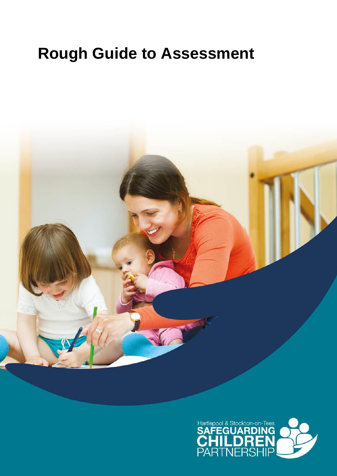# **Rough Guide to Assessment**



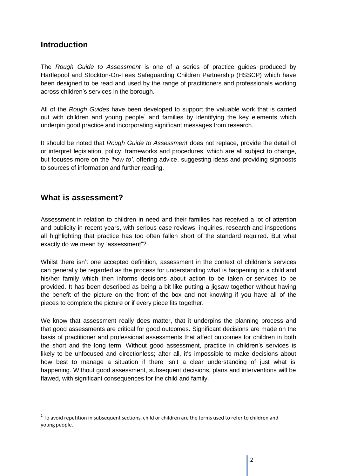# **Introduction**

The *Rough Guide to Assessment* is one of a series of practice guides produced by Hartlepool and Stockton-On-Tees Safeguarding Children Partnership (HSSCP) which have been designed to be read and used by the range of practitioners and professionals working across children's services in the borough.

All of the *Rough Guides* have been developed to support the valuable work that is carried out with children and young people<sup>1</sup> and families by identifying the key elements which underpin good practice and incorporating significant messages from research.

It should be noted that *Rough Guide to Assessment* does not replace, provide the detail of or interpret legislation, policy, frameworks and procedures, which are all subject to change, but focuses more on the *'how to'*, offering advice, suggesting ideas and providing signposts to sources of information and further reading.

## **What is assessment?**

Assessment in relation to children in need and their families has received a lot of attention and publicity in recent years, with serious case reviews, inquiries, research and inspections all highlighting that practice has too often fallen short of the standard required. But what exactly do we mean by "assessment"?

Whilst there isn't one accepted definition, assessment in the context of children's services can generally be regarded as the process for understanding what is happening to a child and his/her family which then informs decisions about action to be taken or services to be provided. It has been described as being a bit like putting a jigsaw together without having the benefit of the picture on the front of the box and not knowing if you have all of the pieces to complete the picture or if every piece fits together.

We know that assessment really does matter, that it underpins the planning process and that good assessments are critical for good outcomes. Significant decisions are made on the basis of practitioner and professional assessments that affect outcomes for children in both the short and the long term. Without good assessment, practice in children's services is likely to be unfocused and directionless; after all, it's impossible to make decisions about how best to manage a situation if there isn't a clear understanding of just what is happening. Without good assessment, subsequent decisions, plans and interventions will be flawed, with significant consequences for the child and family.

 $^1$  To avoid repetition in subsequent sections, child or children are the terms used to refer to children and young people.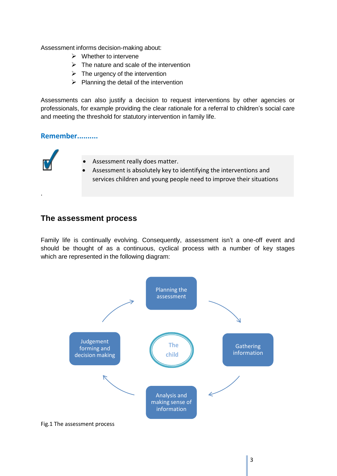Assessment informs decision-making about:

- $\triangleright$  Whether to intervene
- $\triangleright$  The nature and scale of the intervention
- $\triangleright$  The urgency of the intervention
- $\triangleright$  Planning the detail of the intervention

Assessments can also justify a decision to request interventions by other agencies or professionals, for example providing the clear rationale for a referral to children's social care and meeting the threshold for statutory intervention in family life.

### **Remember..........**

.



## **The assessment process**

Family life is continually evolving. Consequently, assessment isn't a one-off event and should be thought of as a continuous, cyclical process with a number of key stages which are represented in the following diagram:

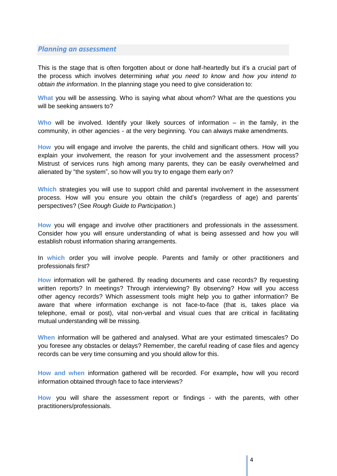#### *Planning an assessment*

This is the stage that is often forgotten about or done half-heartedly but it's a crucial part of the process which involves determining *what you need to know* and *how you intend to obtain the information*. In the planning stage you need to give consideration to:

**What** you will be assessing. Who is saying what about whom? What are the questions you will be seeking answers to?

**Who** will be involved. Identify your likely sources of information – in the family, in the community, in other agencies - at the very beginning. You can always make amendments.

**How** you will engage and involve the parents, the child and significant others. How will you explain your involvement, the reason for your involvement and the assessment process? Mistrust of services runs high among many parents, they can be easily overwhelmed and alienated by "the system", so how will you try to engage them early on?

**Which** strategies you will use to support child and parental involvement in the assessment process. How will you ensure you obtain the child's (regardless of age) and parents' perspectives? (See *Rough Guide to Participation.*)

**How** you will engage and involve other practitioners and professionals in the assessment. Consider how you will ensure understanding of what is being assessed and how you will establish robust information sharing arrangements.

In **which** order you will involve people. Parents and family or other practitioners and professionals first?

**How** information will be gathered. By reading documents and case records? By requesting written reports? In meetings? Through interviewing? By observing? How will you access other agency records? Which assessment tools might help you to gather information? Be aware that where information exchange is not face-to-face (that is, takes place via telephone, email or post), vital non-verbal and visual cues that are critical in facilitating mutual understanding will be missing.

**When** information will be gathered and analysed. What are your estimated timescales? Do you foresee any obstacles or delays? Remember, the careful reading of case files and agency records can be very time consuming and you should allow for this.

**How and when** information gathered will be recorded. For example**,** how will you record information obtained through face to face interviews?

**How** you will share the assessment report or findings - with the parents, with other practitioners/professionals.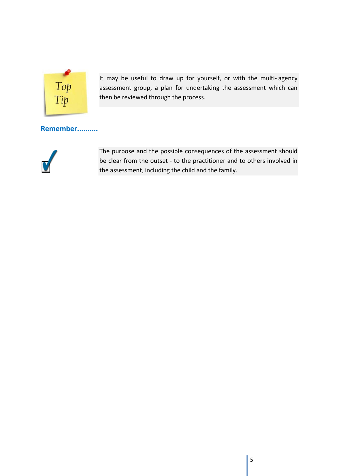

It may be useful to draw up for yourself, or with the multi- agency assessment group, a plan for undertaking the assessment which can then be reviewed through the process.

## **Remember..........**



The purpose and the possible consequences of the assessment should be clear from the outset - to the practitioner and to others involved in the assessment, including the child and the family.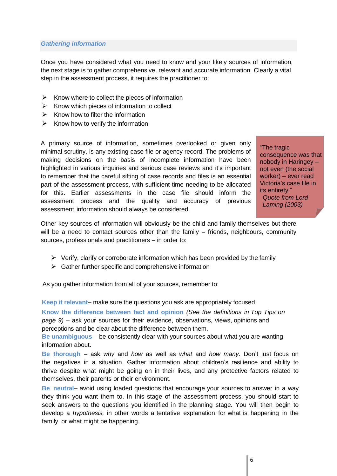#### *Gathering information*

Once you have considered what you need to know and your likely sources of information, the next stage is to gather comprehensive, relevant and accurate information. Clearly a vital step in the assessment process, it requires the practitioner to:

- $\triangleright$  Know where to collect the pieces of information
- $\triangleright$  Know which pieces of information to collect
- $\triangleright$  Know how to filter the information
- $\triangleright$  Know how to verify the information

A primary source of information, sometimes overlooked or given only minimal scrutiny, is any existing case file or agency record. The problems of making decisions on the basis of incomplete information have been highlighted in various inquiries and serious case reviews and it's important to remember that the careful sifting of case records and files is an essential part of the assessment process, with sufficient time needing to be allocated for this. Earlier assessments in the case file should inform the assessment process and the quality and accuracy of previous assessment information should always be considered.

"The tragic consequence was that nobody in Haringey – not even (the social worker) – ever read Victoria's case file in its entirety."

*Quote from Lord Laming (2003)*

Other key sources of information will obviously be the child and family themselves but there will be a need to contact sources other than the family – friends, neighbours, community sources, professionals and practitioners – in order to:

- $\triangleright$  Verify, clarify or corroborate information which has been provided by the family
- $\triangleright$  Gather further specific and comprehensive information

As you gather information from all of your sources, remember to:

**Keep it relevant**– make sure the questions you ask are appropriately focused.

**Know the difference between fact and opinion** *(See the definitions in Top Tips on page 9)* – ask your sources for their evidence, observations, views, opinions and perceptions and be clear about the difference between them.

**Be unambiguous** – be consistently clear with your sources about what you are wanting information about.

**Be thorough** – ask *why* and *how* as well as *what* and *how many*. Don't just focus on the negatives in a situation. Gather information about children's resilience and ability to thrive despite what might be going on in their lives, and any protective factors related to themselves, their parents or their environment.

**Be neutral**– avoid using loaded questions that encourage your sources to answer in a way they think you want them to. In this stage of the assessment process, you should start to seek answers to the questions you identified in the planning stage. You will then begin to develop a *hypothesis,* in other words a tentative explanation for what is happening in the family or what might be happening.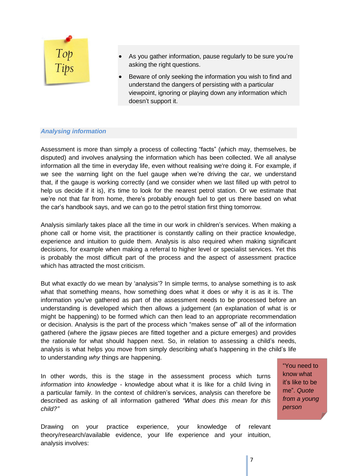

- As you gather information, pause regularly to be sure you're asking the right questions.
- Beware of only seeking the information you wish to find and understand the dangers of persisting with a particular viewpoint, ignoring or playing down any information which doesn't support it.

#### *Analysing information*

Assessment is more than simply a process of collecting "facts" (which may, themselves, be disputed) and involves analysing the information which has been collected. We all analyse information all the time in everyday life, even without realising we're doing it. For example, if we see the warning light on the fuel gauge when we're driving the car, we understand that, if the gauge is working correctly (and we consider when we last filled up with petrol to help us decide if it is), it's time to look for the nearest petrol station. Or we estimate that we're not that far from home, there's probably enough fuel to get us there based on what the car's handbook says, and we can go to the petrol station first thing tomorrow.

Analysis similarly takes place all the time in our work in children's services. When making a phone call or home visit, the practitioner is constantly calling on their practice knowledge, experience and intuition to guide them. Analysis is also required when making significant decisions, for example when making a referral to higher level or specialist services. Yet this is probably the most difficult part of the process and the aspect of assessment practice which has attracted the most criticism.

But what exactly do we mean by 'analysis'? In simple terms, to analyse something is to ask what that something means, how something does what it does or why it is as it is. The information you've gathered as part of the assessment needs to be processed before an understanding is developed which then allows a judgement (an explanation of what is or might be happening) to be formed which can then lead to an appropriate recommendation or decision. Analysis is the part of the process which "makes sense of" all of the information gathered (where the jigsaw pieces are fitted together and a picture emerges) and provides the rationale for what should happen next. So, in relation to assessing a child's needs, analysis is what helps you move from simply describing what's happening in the child's life to understanding *why* things are happening.

In other words, this is the stage in the assessment process which turns *information* into *knowledge -* knowledge about what it is like for a child living in a particular family. In the context of children's services, analysis can therefore be described as asking of all information gathered *"What does this mean for this child?"*

"You need to know what it's like to be me". *Quote from a young person*

Drawing on your practice experience, your knowledge of relevant theory/research/available evidence, your life experience and your intuition, analysis involves: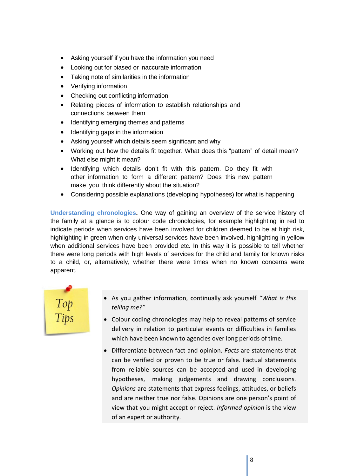- Asking yourself if you have the information you need
- Looking out for biased or inaccurate information
- Taking note of similarities in the information
- Verifying information
- Checking out conflicting information
- Relating pieces of information to establish relationships and connections between them
- Identifying emerging themes and patterns
- Identifying gaps in the information
- Asking yourself which details seem significant and why
- Working out how the details fit together. What does this "pattern" of detail mean? What else might it mean?
- Identifying which details don't fit with this pattern. Do they fit with other information to form a different pattern? Does this new pattern make you think differently about the situation?
- Considering possible explanations (developing hypotheses) for what is happening

**Understanding chronologies.** One way of gaining an overview of the service history of the family at a glance is to colour code chronologies, for example highlighting in red to indicate periods when services have been involved for children deemed to be at high risk, highlighting in green when only universal services have been involved, highlighting in yellow when additional services have been provided etc. In this way it is possible to tell whether there were long periods with high levels of services for the child and family for known risks to a child, or, alternatively, whether there were times when no known concerns were apparent.



- As you gather information, continually ask yourself *"What is this telling me?"*
- Colour coding chronologies may help to reveal patterns of service delivery in relation to particular events or difficulties in families which have been known to agencies over long periods of time.
- Differentiate between fact and opinion. *Facts* are statements that can be verified or proven to be true or false. Factual statements from reliable sources can be accepted and used in developing hypotheses, making judgements and drawing conclusions. *Opinions* are statements that express feelings, attitudes, or beliefs and are neither true nor false. Opinions are one person's point of view that you might accept or reject. *Informed opinion* is the view of an expert or authority.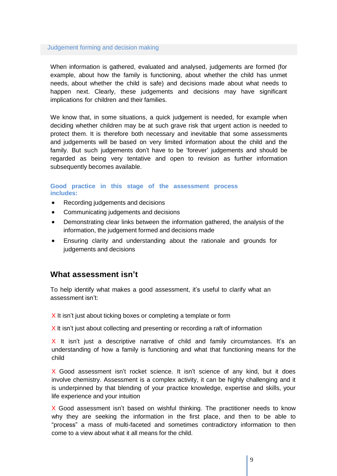#### Judgement forming and decision making

When information is gathered, evaluated and analysed, judgements are formed (for example, about how the family is functioning, about whether the child has unmet needs, about whether the child is safe) and decisions made about what needs to happen next. Clearly, these judgements and decisions may have significant implications for children and their families.

We know that, in some situations, a quick judgement is needed, for example when deciding whether children may be at such grave risk that urgent action is needed to protect them. It is therefore both necessary and inevitable that some assessments and judgements will be based on very limited information about the child and the family. But such judgements don't have to be 'forever' judgements and should be regarded as being very tentative and open to revision as further information subsequently becomes available.

#### **Good practice in this stage of the assessment process includes:**

- Recording judgements and decisions
- Communicating judgements and decisions
- Demonstrating clear links between the information gathered, the analysis of the information, the judgement formed and decisions made
- Ensuring clarity and understanding about the rationale and grounds for judgements and decisions

## **What assessment isn't**

To help identify what makes a good assessment, it's useful to clarify what an assessment isn't:

 $X$  It isn't just about ticking boxes or completing a template or form

X It isn't just about collecting and presenting or recording a raft of information

 $X$  It isn't just a descriptive narrative of child and family circumstances. It's an understanding of how a family is functioning and what that functioning means for the child

X Good assessment isn't rocket science. It isn't science of any kind, but it does involve chemistry. Assessment is a complex activity, it can be highly challenging and it is underpinned by that blending of your practice knowledge, expertise and skills, your life experience and your intuition

X Good assessment isn't based on wishful thinking. The practitioner needs to know why they are seeking the information in the first place, and then to be able to "process" a mass of multi-faceted and sometimes contradictory information to then come to a view about what it all means for the child.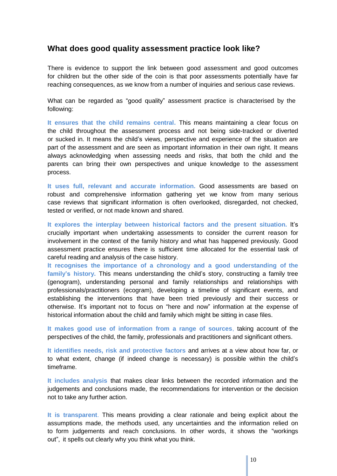## **What does good quality assessment practice look like?**

There is evidence to support the link between good assessment and good outcomes for children but the other side of the coin is that poor assessments potentially have far reaching consequences, as we know from a number of inquiries and serious case reviews.

What can be regarded as "good quality" assessment practice is characterised by the following:

**It ensures that the child remains central.** This means maintaining a clear focus on the child throughout the assessment process and not being side-tracked or diverted or sucked in. It means the child's views, perspective and experience of the situation are part of the assessment and are seen as important information in their own right. It means always acknowledging when assessing needs and risks, that both the child and the parents can bring their own perspectives and unique knowledge to the assessment process.

**It uses full, relevant and accurate information.** Good assessments are based on robust and comprehensive information gathering yet we know from many serious case reviews that significant information is often overlooked, disregarded, not checked, tested or verified, or not made known and shared.

**It explores the interplay between historical factors and the present situation.** It's crucially important when undertaking assessments to consider the current reason for involvement in the context of the family history and what has happened previously. Good assessment practice ensures there is sufficient time allocated for the essential task of careful reading and analysis of the case history.

**It recognises the importance of a chronology and a good understanding of the family's history.** This means understanding the child's story, constructing a family tree (genogram), understanding personal and family relationships and relationships with professionals/practitioners (ecogram), developing a timeline of significant events, and establishing the interventions that have been tried previously and their success or otherwise. It's important not to focus on "here and now" information at the expense of historical information about the child and family which might be sitting in case files.

**It makes good use of information from a range of sources**, taking account of the perspectives of the child, the family, professionals and practitioners and significant others.

**It identifies needs, risk and protective factors** and arrives at a view about how far, or to what extent, change (if indeed change is necessary) is possible within the child's timeframe.

**It includes analysis** that makes clear links between the recorded information and the judgements and conclusions made, the recommendations for intervention or the decision not to take any further action.

**It is transparent**. This means providing a clear rationale and being explicit about the assumptions made, the methods used, any uncertainties and the information relied on to form judgements and reach conclusions. In other words, it shows the "workings out", it spells out clearly why you think what you think.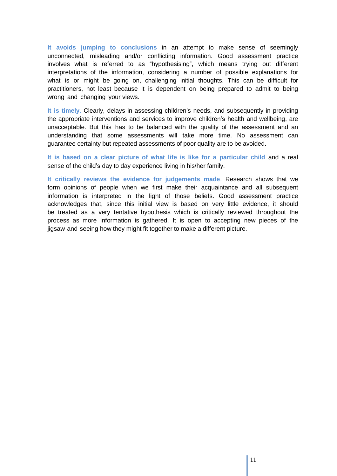**It avoids jumping to conclusions** in an attempt to make sense of seemingly unconnected, misleading and/or conflicting information. Good assessment practice involves what is referred to as "hypothesising", which means trying out different interpretations of the information, considering a number of possible explanations for what is or might be going on, challenging initial thoughts. This can be difficult for practitioners, not least because it is dependent on being prepared to admit to being wrong and changing your views.

**It is timely.** Clearly, delays in assessing children's needs, and subsequently in providing the appropriate interventions and services to improve children's health and wellbeing, are unacceptable. But this has to be balanced with the quality of the assessment and an understanding that some assessments will take more time. No assessment can guarantee certainty but repeated assessments of poor quality are to be avoided.

**It is based on a clear picture of what life is like for a particular child** and a real sense of the child's day to day experience living in his/her family.

**It critically reviews the evidence for judgements made**. Research shows that we form opinions of people when we first make their acquaintance and all subsequent information is interpreted in the light of those beliefs. Good assessment practice acknowledges that, since this initial view is based on very little evidence, it should be treated as a very tentative hypothesis which is critically reviewed throughout the process as more information is gathered. It is open to accepting new pieces of the jigsaw and seeing how they might fit together to make a different picture.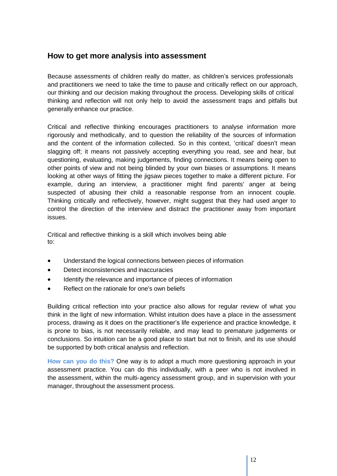## **How to get more analysis into assessment**

Because assessments of children really do matter, as children's services professionals and practitioners we need to take the time to pause and critically reflect on our approach, our thinking and our decision making throughout the process. Developing skills of critical thinking and reflection will not only help to avoid the assessment traps and pitfalls but generally enhance our practice.

Critical and reflective thinking encourages practitioners to analyse information more rigorously and methodically, and to question the reliability of the sources of information and the content of the information collected. So in this context, 'critical' doesn't mean slagging off; it means not passively accepting everything you read, see and hear, but questioning, evaluating, making judgements, finding connections. It means being open to other points of view and not being blinded by your own biases or assumptions. It means looking at other ways of fitting the jigsaw pieces together to make a different picture. For example, during an interview, a practitioner might find parents' anger at being suspected of abusing their child a reasonable response from an innocent couple. Thinking critically and reflectively, however, might suggest that they had used anger to control the direction of the interview and distract the practitioner away from important issues.

Critical and reflective thinking is a skill which involves being able to:

- Understand the logical connections between pieces of information
- Detect inconsistencies and inaccuracies
- Identify the relevance and importance of pieces of information
- Reflect on the rationale for one's own beliefs

Building critical reflection into your practice also allows for regular review of what you think in the light of new information. Whilst intuition does have a place in the assessment process, drawing as it does on the practitioner's life experience and practice knowledge, it is prone to bias, is not necessarily reliable, and may lead to premature judgements or conclusions. So intuition can be a good place to start but not to finish, and its use should be supported by both critical analysis and reflection.

**How can you do this?** One way is to adopt a much more questioning approach in your assessment practice. You can do this individually, with a peer who is not involved in the assessment, within the multi-agency assessment group, and in supervision with your manager, throughout the assessment process.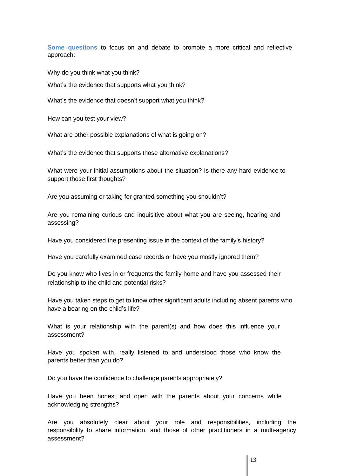**Some questions** to focus on and debate to promote a more critical and reflective approach:

Why do you think what you think?

What's the evidence that supports what you think?

What's the evidence that doesn't support what you think?

How can you test your view?

What are other possible explanations of what is going on?

What's the evidence that supports those alternative explanations?

What were your initial assumptions about the situation? Is there any hard evidence to support those first thoughts?

Are you assuming or taking for granted something you shouldn't?

Are you remaining curious and inquisitive about what you are seeing, hearing and assessing?

Have you considered the presenting issue in the context of the family's history?

Have you carefully examined case records or have you mostly ignored them?

Do you know who lives in or frequents the family home and have you assessed their relationship to the child and potential risks?

Have you taken steps to get to know other significant adults including absent parents who have a bearing on the child's life?

What is your relationship with the parent(s) and how does this influence your assessment?

Have you spoken with, really listened to and understood those who know the parents better than you do?

Do you have the confidence to challenge parents appropriately?

Have you been honest and open with the parents about your concerns while acknowledging strengths?

Are you absolutely clear about your role and responsibilities, including the responsibility to share information, and those of other practitioners in a multi-agency assessment?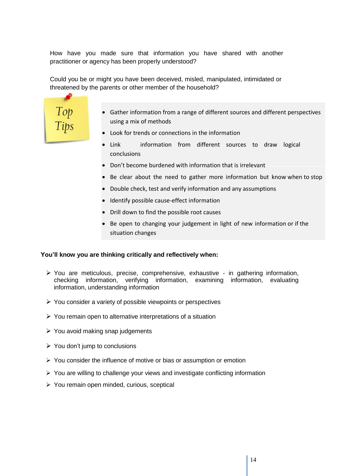How have you made sure that information you have shared with another practitioner or agency has been properly understood?

Could you be or might you have been deceived, misled, manipulated, intimidated or threatened by the parents or other member of the household?



- Gather information from a range of different sources and different perspectives using a mix of methods
- Look for trends or connections in the information
- Link information from different sources to draw logical conclusions
- Don't become burdened with information that is irrelevant
- $\bullet$  Be clear about the need to gather more information but know when to stop
- Double check, test and verify information and any assumptions
- Identify possible cause-effect information
- Drill down to find the possible root causes
- Be open to changing your judgement in light of new information or if the situation changes

#### **You'll know you are thinking critically and reflectively when:**

- You are meticulous, precise, comprehensive, exhaustive in gathering information, checking information, verifying information, examining information, evaluating information, understanding information
- $\triangleright$  You consider a variety of possible viewpoints or perspectives
- $\triangleright$  You remain open to alternative interpretations of a situation
- $\triangleright$  You avoid making snap judgements
- $\triangleright$  You don't jump to conclusions
- $\triangleright$  You consider the influence of motive or bias or assumption or emotion
- $\triangleright$  You are willing to challenge your views and investigate conflicting information
- $\triangleright$  You remain open minded, curious, sceptical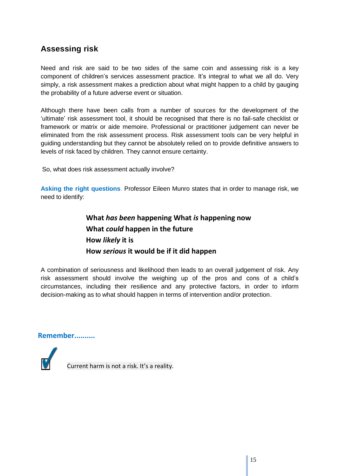# **Assessing risk**

Need and risk are said to be two sides of the same coin and assessing risk is a key component of children's services assessment practice. It's integral to what we all do. Very simply, a risk assessment makes a prediction about what might happen to a child by gauging the probability of a future adverse event or situation.

Although there have been calls from a number of sources for the development of the 'ultimate' risk assessment tool, it should be recognised that there is no fail-safe checklist or framework or matrix or aide memoire. Professional or practitioner judgement can never be eliminated from the risk assessment process. Risk assessment tools can be very helpful in guiding understanding but they cannot be absolutely relied on to provide definitive answers to levels of risk faced by children. They cannot ensure certainty.

So, what does risk assessment actually involve?

**Asking the right questions**. Professor Eileen Munro states that in order to manage risk, we need to identify:

> **What** *has been* **happening What** *is* **happening now What** *could* **happen in the future How** *likely* **it is How** *serious* **it would be if it did happen**

A combination of seriousness and likelihood then leads to an overall judgement of risk. Any risk assessment should involve the weighing up of the pros and cons of a child's circumstances, including their resilience and any protective factors, in order to inform decision-making as to what should happen in terms of intervention and/or protection.

**Remember..........**

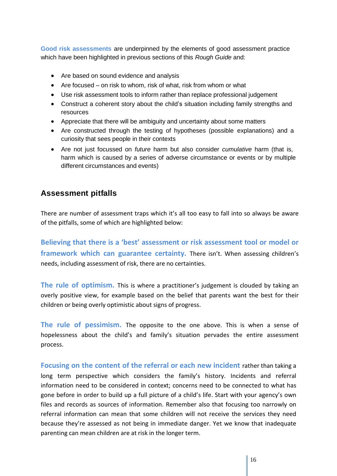**Good risk assessments** are underpinned by the elements of good assessment practice which have been highlighted in previous sections of this *Rough Guide* and:

- Are based on sound evidence and analysis
- Are focused on risk to whom, risk of what, risk from whom or what
- Use risk assessment tools to inform rather than replace professional judgement
- Construct a coherent story about the child's situation including family strengths and resources
- Appreciate that there will be ambiguity and uncertainty about some matters
- Are constructed through the testing of hypotheses (possible explanations) and a curiosity that sees people in their contexts
- Are not just focussed on *future* harm but also consider *cumulative* harm (that is, harm which is caused by a series of adverse circumstance or events or by multiple different circumstances and events)

## **Assessment pitfalls**

There are number of assessment traps which it's all too easy to fall into so always be aware of the pitfalls, some of which are highlighted below:

**Believing that there is a 'best' assessment or risk assessment tool or model or framework which can guarantee certainty.** There isn't. When assessing children's needs, including assessment of risk, there are no certainties.

**The rule of optimism.** This is where a practitioner's judgement is clouded by taking an overly positive view, for example based on the belief that parents want the best for their children or being overly optimistic about signs of progress.

**The rule of pessimism.** The opposite to the one above. This is when a sense of hopelessness about the child's and family's situation pervades the entire assessment process.

**Focusing on the content of the referral or each new incident** rather than taking a long term perspective which considers the family's history. Incidents and referral information need to be considered in context; concerns need to be connected to what has gone before in order to build up a full picture of a child's life. Start with your agency's own files and records as sources of information. Remember also that focusing too narrowly on referral information can mean that some children will not receive the services they need because they're assessed as not being in immediate danger. Yet we know that inadequate parenting can mean children are at risk in the longer term.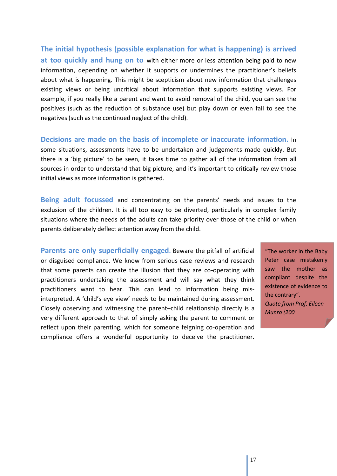**The initial hypothesis (possible explanation for what is happening) is arrived at too quickly and hung on to** with either more or less attention being paid to new information, depending on whether it supports or undermines the practitioner's beliefs about what is happening. This might be scepticism about new information that challenges existing views or being uncritical about information that supports existing views. For example, if you really like a parent and want to avoid removal of the child, you can see the positives (such as the reduction of substance use) but play down or even fail to see the negatives (such as the continued neglect of the child).

**Decisions are made on the basis of incomplete or inaccurate information.** In some situations, assessments have to be undertaken and judgements made quickly. But there is a 'big picture' to be seen, it takes time to gather all of the information from all sources in order to understand that big picture, and it's important to critically review those initial views as more information is gathered.

**Being adult focussed** and concentrating on the parents' needs and issues to the exclusion of the children. It is all too easy to be diverted, particularly in complex family situations where the needs of the adults can take priority over those of the child or when parents deliberately deflect attention away from the child.

**Parents are only superficially engaged.** Beware the pitfall of artificial or disguised compliance. We know from serious case reviews and research that some parents can create the illusion that they are co-operating with practitioners undertaking the assessment and will say what they think practitioners want to hear. This can lead to information being misinterpreted. A 'child's eye view' needs to be maintained during assessment. Closely observing and witnessing the parent–child relationship directly is a very different approach to that of simply asking the parent to comment or reflect upon their parenting, which for someone feigning co-operation and compliance offers a wonderful opportunity to deceive the practitioner.

"The worker in the Baby Peter case mistakenly saw the mother as compliant despite the existence of evidence to the contrary". *Quote from Prof. Eileen Munro (200*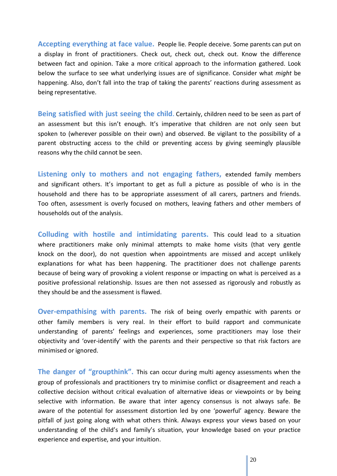**Accepting everything at face value.** People lie. People deceive. Some parents can put on a display in front of practitioners. Check out, check out, check out. Know the difference between fact and opinion. Take a more critical approach to the information gathered. Look below the surface to see what underlying issues are of significance. Consider what *might* be happening. Also, don't fall into the trap of taking the parents' reactions during assessment as being representative.

**Being satisfied with just seeing the child.** Certainly, children need to be seen as part of an assessment but this isn't enough. It's imperative that children are not only seen but spoken to (wherever possible on their own) and observed. Be vigilant to the possibility of a parent obstructing access to the child or preventing access by giving seemingly plausible reasons why the child cannot be seen.

**Listening only to mothers and not engaging fathers,** extended family members and significant others. It's important to get as full a picture as possible of who is in the household and there has to be appropriate assessment of all carers, partners and friends. Too often, assessment is overly focused on mothers, leaving fathers and other members of households out of the analysis.

**Colluding with hostile and intimidating parents.** This could lead to a situation where practitioners make only minimal attempts to make home visits (that very gentle knock on the door), do not question when appointments are missed and accept unlikely explanations for what has been happening. The practitioner does not challenge parents because of being wary of provoking a violent response or impacting on what is perceived as a positive professional relationship. Issues are then not assessed as rigorously and robustly as they should be and the assessment is flawed.

**Over-empathising with parents.** The risk of being overly empathic with parents or other family members is very real. In their effort to build rapport and communicate understanding of parents' feelings and experiences, some practitioners may lose their objectivity and 'over-identify' with the parents and their perspective so that risk factors are minimised or ignored.

**The danger of "groupthink".** This can occur during multi agency assessments when the group of professionals and practitioners try to minimise conflict or disagreement and reach a collective decision without critical evaluation of alternative ideas or viewpoints or by being selective with information. Be aware that inter agency consensus is not always safe. Be aware of the potential for assessment distortion led by one 'powerful' agency. Beware the pitfall of just going along with what others think. Always express your views based on your understanding of the child's and family's situation, your knowledge based on your practice experience and expertise, and your intuition.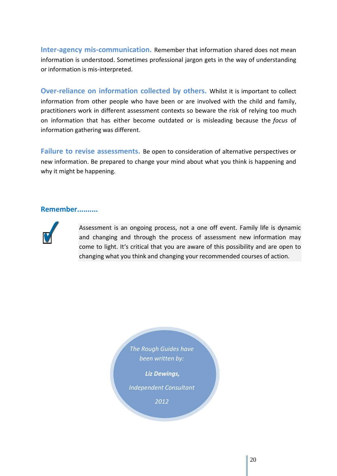**Inter-agency mis-communication.** Remember that information shared does not mean information is understood. Sometimes professional jargon gets in the way of understanding or information is mis-interpreted.

**Over-reliance on information collected by others.** Whilst it is important to collect information from other people who have been or are involved with the child and family, practitioners work in different assessment contexts so beware the risk of relying too much on information that has either become outdated or is misleading because the *focus* of information gathering was different.

**Failure to revise assessments.** Be open to consideration of alternative perspectives or new information. Be prepared to change your mind about what you think is happening and why it might be happening.

## **Remember..........**



Assessment is an ongoing process, not a one off event. Family life is dynamic and changing and through the process of assessment new information may come to light. It's critical that you are aware of this possibility and are open to changing what you think and changing your recommended courses of action.

> *The Rough Guides have been written by:*

> > *Liz Dewings,*

*Independent Consultant*

*2012*